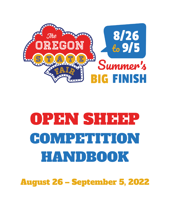

# OPEN SHEEP COMPETITION HANDBOOK

August 26 – September 5, 2022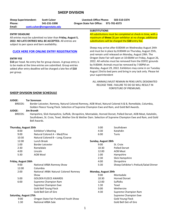# **SHEEP DIVISION**

**Phone: 541-231-3398 Oregon State Fair Office: 971-701-6573 Email: [scott.culver@oregonstate.edu](mailto:scott.culver@oregonstate.edu)** 

**Sheep Superintendent: Scott Culver Livestock Office Phone: 503-510-3374**

#### **ENTRY DEADLINE**

All entries must be submitted no later than **Friday, August 5, 2022**. **NO LATE ENTRIES WILL BE ACCEPTED.** All entries are subject to pen space and barn availability.

## **[CLICK HERE FOR ONLINE ENTRY REGISTRATION](http://oregona.fairwire.com/)**

#### **ENTRY FEE**

**\$10** per head. No entry fee for group classes. A group entry is to be made at the time entries are submitted. Group entries added after entry deadline will be charged a late fee of **\$10** per group.

## **SUBSTITUTIONS**

All substitutions must be completed at check-in time, with a maximum of **three** (3) per exhibitor at no charge; additional substitutions will be charged the **\$10** entry fee.

Sheep may arrive after 8:00AM on Wednesday August 24th and must be in place by 8:00AM on Thursday, August 25th, and remain until released on Monday, August 29th. The Oregon State Fair will open at 10:00AM on Friday, August 26, 2022. All vehicles must be removed from the OSFEC grounds by 9:00AM. Animals must be removed by 7:00PM on Monday, August 29, 2022. Exhibitors may come in on Tuesday August 23rd to bed pens and bring in any tack only. Please let your superintendent

## ALL ANIMALS MUST REMAIN IN PENS UNTIL DESIGNATED RELEASE TIME. FAILURE TO DO SO WILL RESULT IN FORFEITURE OF PREMIUMS.

## **SHEEP DIVISION SHOW SCHEDULE**

**JUDGE: Tor Sorenson**

BREEDS: Border Leicester, Romney, Natural Colored Romney, AOB Wool, Natural Colored A & B, Romeldale, Columbia, Golden Fleece Young Flock. Selection of Supreme Champion Ewe and Ram, and Gold Bell Awards.

#### **JUDGE: Jim Brandt**

BREEDS: Hampshire, Slick Hampshire, Suffolk, Shropshire, Montadale, Horned Dorset, Polled Dorset, AOB Meat, Katahdin, Southdown, St. Croix, Texel, Wether Sire & Wether Dam. Selection of Supreme Champion Ewe and Ram, and Gold Bell Awards.

| Thursday, August 25th                                                  |                                      | 3:00                | Southdown                              |  |  |  |  |
|------------------------------------------------------------------------|--------------------------------------|---------------------|----------------------------------------|--|--|--|--|
| 8:00                                                                   | <b>Exhibitor's Meeting</b>           | 4:30                | Katahdin                               |  |  |  |  |
| 9:00                                                                   | Natural Colored A - Med/Fine         | 6:00                | Tunis                                  |  |  |  |  |
| 10:30<br>Natural Colored B - Long / Coarse                             |                                      |                     |                                        |  |  |  |  |
| 12:00                                                                  | Lunch Break                          | Sunday, August 28th |                                        |  |  |  |  |
| 1:00                                                                   | Border Leicester                     | 9:00                | St. Croix                              |  |  |  |  |
| 2:30                                                                   | Romeldale                            | 10:30               | <b>Polled Dorset</b>                   |  |  |  |  |
| 4:00                                                                   | Lincoln                              | 12:00               | <b>AOB Meat</b>                        |  |  |  |  |
| 5:30                                                                   | AOB Wool                             | 1:00                | Hampshire                              |  |  |  |  |
|                                                                        |                                      | 2:30                | Slick Hampshire                        |  |  |  |  |
| Friday, August 26th                                                    |                                      | 4:00                | Shropshire                             |  |  |  |  |
| 9:00                                                                   | National ARBA Romney Show            | 5:30                | Sheep Exhibitor's Potluck/Salad Dinner |  |  |  |  |
| 12:00                                                                  | Columbia                             |                     |                                        |  |  |  |  |
| 2:00                                                                   | National ARBA Natural Colored Romney | Monday, August 29th |                                        |  |  |  |  |
|                                                                        | Show                                 | 9:00                | Montadale                              |  |  |  |  |
| 5:00                                                                   | <b>GOLDEN FLEECE AWARDS</b>          | 10:30               | <b>Horned Dorset</b>                   |  |  |  |  |
| 6:00                                                                   | Supreme Champion Ram                 | 12:00               | <b>Suffolks</b>                        |  |  |  |  |
|                                                                        | Supreme Champion Ewe                 | 1:30                | Texel                                  |  |  |  |  |
|                                                                        | Gold Bell Young Flock                | 3:00                | Wethersire                             |  |  |  |  |
|                                                                        | Gold Bell Get-of-Sire                | 4:30                | Supreme Champion Ram                   |  |  |  |  |
| Saturday, August 27th<br>9:00<br>Oregon State Fair Purebred Youth Show |                                      |                     | Supreme Champion Ewe                   |  |  |  |  |
|                                                                        |                                      |                     | Gold Young Flock                       |  |  |  |  |
| 1:30                                                                   | <b>National ARBA Sale</b>            |                     | Gold Bell Get-of-Sire                  |  |  |  |  |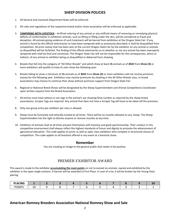# **SHEEP DIVISION POLICIES**

- 1. All General and Livestock Department Rules will be enforced.
- 2. All rules and regulations of the respective breed and/or show association will be enforced as applicable.
- 3. **TAMPERING WITH LIVESTOCK** Artificial coloring of any animal or any artificial means of removing or remedying physical defects of conformation in exhibition animals, such as lifting or filling under the skin, will be considered as fraud and deception. All animals giving evidence of such treatment will be barred from exhibition at the Oregon State Fair. If any animal is found by the official veterinarian to have been tampered with as previously described, it shall be disqualified from competition. All prize money that has been won at the current Oregon State Fair by the exhibitor on any animal or animals so disqualified will be forfeited. The finding of the official veterinarian as to whether or not any animal has been improperly tampered with shall be final and conclusive. The Oregon State Fair will not be responsible for the consequences, direct or indirect, of any animal or exhibitor being so disqualified or debarred from showing.
- 4. Breeds that fall into the category of "All Other Breeds" and which show at least **15** animals as of **2022** from **three (3)** or more exhibitors will qualify to have its own show the following year.
- 5. Breeds failing to show a minimum of **15** animals as of **2022** from **three (3)** or more exhibitors will not receive premium money for the following year. Exhibitors may receive premiums by showing in the All Other Breeds class, or breed associations may choose to continue their show without premium support from Oregon State Fair.
- 6. Regional or National Breed Shows will be designated by the Sheep Superintendent and Animal Competitions Coordinator upon written request from the Breed Association.
- 7. All entries must have tattoos or ear tags in the animal's ear showing flock number as required by the sheep breed associations. Scrapie Tags are required. Any animal that does not have a Scrapie Tag will have to be taken off the premises.
- 8. Only one group entry per exhibitor per class is allowed.
- 9. Sheep must be humanely and ethically treated at all times. There will be no muzzles allowed on any sheep. The Sheep Superintendent has the right to dismiss anyone or remove muzzles at any time.
- 10. Exhibitors of animals shall at all times present themselves with honesty and good sportsmanship. Their conduct in this competitive environment shall always reflect the highest standards of honor and dignity to promote the advancement of agricultural education. This code applies to junior as well as open class exhibitors who compete in structured classes of competition. This code applies to all livestock offered in any event at a livestock show.

# **Remember**

You are creating an image to the general public that needs to be positive.

# PREMIER EXHIBITOR AWARD

This award is made to the exhibitor **accumulating the most points** on not to exceed six animals, owned and exhibited by the exhibitor in the open single sections. A banner will be awarded to First Place. In case of a tie, it will be broken by the Young Flock placing.

| <b>PLACING</b> |    |  |  |  |  |  |
|----------------|----|--|--|--|--|--|
| <b>POINTS</b>  | ∸∼ |  |  |  |  |  |

# **American Romney Breeders Association National Romney Show and Sale**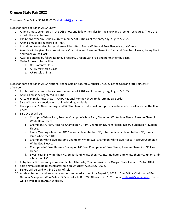# **Oregon State Fair 2022**

Chairman: Sue Kalina, 503-939-0303, [skalina26@gmail.com](mailto:skalina26@gmail.com)

Rules for participation in ARBA Show:

- 1. Animals must be entered in the OSF Show and follow the rules for the show and premium schedule. There are no additional entry fees.
- 2. Exhibitor/Owner must be a current member of ARBA as of the entry day, August 5, 2022.
- 3. Animals must be registered in ARBA.
- 4. In addition to regular classes, there will be a Best Fleece White and Best Fleece Natural Colored.
- 5. Awards will be given for class winners, Champion and Reserve Champion Ram and Ewe, Best Fleece, Young Flock and Wool Young Flock.
- 6. Awards donated by fellow Romney breeders, Oregon State Fair and Romney enthusiasts.
- 7. Order for each class will be:
	- a. OSF Romney Class
	- b. ARBA registered Class
	- c. ARBA sale animals.

Rules for participation in ARBA National Sheep Sale on Saturday, August 27, 2022 at the Oregon State Fair, early afternoon:

- 1. Exhibitor/Owner must be a current member of ARBA as of the entry day, August 5, 2022.
- 2. Animals must be registered in ARBA.
- 3. All sale animals must show in ARBA National Romney Show to determine sale order.
- 4. Sale will be a live auction with online bidding available.
- 5. Floor price is \$500 on yearlings and \$400 on lambs. Individual floor prices can be made by seller above the floor prices.
- 6. Sale Order will be:
	- a. Champion White Ram, Reserve Champion White Ram, Champion White Ram Fleece, Reserve Champion White Ram Fleece.
	- b. Champion NC Ram, Reserve Champion NC Ram, Champion NC Ram Fleece, Reserve Champion NC Ram Fleece.
	- c. Rams: Yearling white then NC, Senior lamb white then NC, Intermediate lamb white then NC, junior lamb white then NC.
	- d. Champion White Ewe, Reserve Champion White Ewe, Champion White Ewe Fleece, Reserve Champion White Ewe Fleece.
	- e. Champion NC Ewe, Reserve Champion NC Ewe, Champion NC Ewe Fleece, Reserve Champion NC Ewe Fleece.
	- f. Ewes: Yearling white then NC, Senior lamb white then NC, Intermediate lamb white then NC, junior lamb white then NC.
- 7. Entry fee is \$20 per entry non-refundable. After sale, 6% commission for Oregon State Fair and 6% for ARBA.
- 8. Sold animals can be released after sale on Saturday, August 27, 2022.
- 9. Sellers will be paid within 30 days of sale.
- 10. A sale entry form and fee must also be completed and sent by August 5, 2022 to Sue Kalina, Chairman ARBA National Sheep and Wool Sale at 35586 Oakville Rd. SW, Albany, OR 97321. Email [skalina26@gmail.com.](mailto:skalina26@gmail.com) Forms will be available on ARBA Website.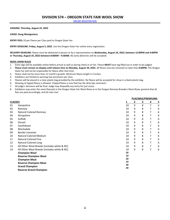**[ONLINE REGISTRATION](http://oregona.fairmanager.com/)** 

**JUDGING: Thursday, August 25, 2022**

**JUDGE: Doug Montgomery** 

**ENTRY FEES:** \$3 per Fleece per Class paid to Oregon State Fair.

**ENTRY DEADLINE: Friday, August 5, 2022**. Use the Oregon State Fair online entry registration.

**DELIVERY DEADLINE:** Fleece must be delivered in person or by a representative on **Wednesday, August 24, 2022, between 12:00PM and 4:00PM or Thursday, August 25, 2022 between 8:00AM – 9:30AM.** No early deliveries will be accepted.

#### **WOOL SHOW RULES**

- 1. Entry tags will be available online before arrival as well as during check-in at Fair. Fleece **MUST** have tag filled out in order to be judged.
- 2. Fleece must remain on display until release time on Monday, August 29, 2022. All fleece must be removed no later than 6:00PM. The Oregon State Fair will not be responsible for fleece after that time.
- 3. Fleece shall not be more than 12 month's growth. Minimum fleece length is 3 inches.
- 4. Exhibitors are limited to winning two premiums per class.
- 5. Fleeces will be placed in a clear plastic bag provided by the exhibitor. No fleece will be accepted for show in a black plastic bag.
- 6. Showing of tipped fleece is allowed. (Tipped fleece is one that has the dirty tips removed.)
- 7. All judge's decisions will be final. Judge may disqualify any entry for just cause.
- 8. Exhibitors may enter the same fleece(s) in the Oregon State Fair Wool Show as in the Oregon Romney Breeders Wool Show, granted that all fees are paid accordingly, and all rules met.

|                |                                             |          |              |   | <b>PLACINGS/PREMIUMS</b> |          |  |  |  |  |  |
|----------------|---------------------------------------------|----------|--------------|---|--------------------------|----------|--|--|--|--|--|
| <b>CLASSES</b> |                                             |          | $\mathbf{2}$ | 3 | 4                        | <u>5</u> |  |  |  |  |  |
| 01             | Hampshire                                   | 10       | 9            | 8 | $\overline{7}$           | 6        |  |  |  |  |  |
| 02             | Romney                                      | 10       | 9            | 8 | 7                        | 6        |  |  |  |  |  |
| 03             | <b>Natural Colored Romney</b>               | 10       | 9            | 8 | 7                        | 6        |  |  |  |  |  |
| 04             | Shropshire                                  | 10       | 9            | 8 | 7                        | 6        |  |  |  |  |  |
| 05             | Suffolk                                     | 10       | 9            | 8 | 7                        | 6        |  |  |  |  |  |
| 06             | Dorset                                      | 10       | 9            | 8 | $\overline{7}$           | 6        |  |  |  |  |  |
| 07             | Southdown                                   | 10       | 9            | 8 | 7                        | 6        |  |  |  |  |  |
| 08             | Montadale                                   | 10       | 9            | 8 | 7                        | 6        |  |  |  |  |  |
| 09             | Border Leicester                            | 10       | 9            | 8 | 7                        | 6        |  |  |  |  |  |
| 10             | Natural Colored Medium                      | 10       | 9            | 8 | 7                        | 6        |  |  |  |  |  |
| 11             | <b>Natural Colored Fine</b>                 | 10       | 9            | 8 | 7                        | 6        |  |  |  |  |  |
| 12             | <b>Natural Colored Long</b>                 | 10       | 9            | 8 | 7                        | 6        |  |  |  |  |  |
| 13             | All Other Wool Breeds (includes white & NC) | 10       | 9            | 8 | 7                        | 6        |  |  |  |  |  |
| 14             | All Other Meat Breeds (includes white & NC) | 10       | 9            | 8 | $\overline{7}$           | 6        |  |  |  |  |  |
|                | <b>Champion Wool</b>                        | 20       |              |   |                          |          |  |  |  |  |  |
|                | <b>Reserve Champion Wool</b>                | 10       |              |   |                          |          |  |  |  |  |  |
|                | <b>Champion Meat</b>                        | 20       |              |   |                          |          |  |  |  |  |  |
|                | <b>Reserve Champion Meat</b>                | 10       |              |   |                          |          |  |  |  |  |  |
|                | <b>Grand Champion</b>                       | 30<br>20 |              |   |                          |          |  |  |  |  |  |
|                | <b>Reserve Grand Champion</b>               |          |              |   |                          |          |  |  |  |  |  |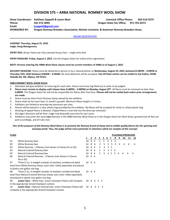# **DIVISION 575 – ARBA NATIONAL ROMNEY WOOL SHOW**

## **Show Coordinator: Kathleen ZappellI & Joann Mast Livestock Office Phone: 503-510-3374**

**Email: [kzappelli@gmail.com](mailto:kzappelli@gmail.com)**

**Phone: 541-572-3094 Oregon State Fair Office: 971-701-6573**

**SPONSORED BY: Oregon Romney Breeders Association, Nichols Livestock, & American Romney Breeders Assoc.** 

[ONLINE REGISTRATION](http://oregona.fairmanager.com/)

**JUDGING: Thursday, August 25, 2022 Judge: Doug Montgomery**

**ENTRY FEES:** \$0 per Fleece per Class (except Group Class – single entry fee)

**ENTRY DEADLINE: Friday, August 5, 2022**. Use the Oregon State Fair online entry registration.

#### **NOTE: Persons entering the ARBA Wool Show classes must be current members of ARBA as of August 5, 2022**

**DELIVERY DEADLINE:** Fleece must be delivered in person or by a representative on **Wednesday, August 24, 2022, between12:00PM – 4:00PM or Thursday 25th, 2022 between 8:00AM – 9:30AM.** No early deliveries will be accepted. **Out-Of-State entries can be mailed to Sue Kalina, 35586 Oakville Rd. SW, Albany, OR 97321.** 

#### **ARBA ROMNEY WOOL SHOW RULES**

- 1. Attendant will give exhibitor an entry tag for each class. Fleece must have tag filled out in order to be judged.
- **2. Fleece must remain on display until release time (1:00PM – 5:00PM) on Monday, August 29th .** All fleece must be removed no later than **6:00PM**. The Oregon State Fair will not be responsible for fleece after that time. **Fleeces will not be mailed back unless prior arrangements are made**
- 3. Fleece must be shorn from Romney sheep owned by the exhibitor.
- 4. Fleece shall not be more than 12 month's growth. Minimum fleece length is 3 inches.
- 5. Exhibitors are limited to winning two premiums per class.
- 6. Fleeces will be placed in a clear plastic bag provided by the exhibitor. No fleece will be accepted for show in a black plastic bag.
- 7. Showing of tipped fleece is allowed. (Tipped fleece is one that has the dirty tips removed.)
- 8. All judge's decisions will be final. Judge may disqualify any entry for just cause.
- 9. Exhibitors may enter the same **ewe** fleece(s) in the ARBA Romney Wool Show as in the Oregon State Fair Wool Show, granted that all fees are paid accordingly, and all rules met.

#### *One of the purposes of this Romney Wool Show is to promote the Romney breed of sheep and to exhibit quality fleeces for the spinning and weaving world. Thus, the judge will be more particular in selections which are samples of this concept.*

| <b>CLASS</b> |                                                                        |        |              |    |                |                |    |       |    |          |    | PLACINGS/PREMIUMS |    |
|--------------|------------------------------------------------------------------------|--------|--------------|----|----------------|----------------|----|-------|----|----------|----|-------------------|----|
|              |                                                                        |        | $\mathbf{2}$ | 3  | 4              | 5.             | 6  |       | 8  | 9        | 10 | 11                | 12 |
| 01           | White Romney Ram                                                       | 10     | 8            | 6  | 5.             | 5.             | 5. | 5     | 4  |          |    |                   |    |
| 02           | White Romney Ewe                                                       | 10     | 8            | -6 | 5              | 5.             | 5  | 5     | 5  | 4        | 4  | 4                 | 4  |
| 03           | White Romney $-3$ fleeces (not shown in Classes 01 or 02)              | 10     | 8            | 6  | 5.             | 5              | 5  | 5     |    |          |    |                   |    |
| 04           | Natural Colored Romney Ram                                             | 10     | 8            | -6 | 5.             | 5.             | 5. | 5     | -4 |          |    |                   |    |
| 05           | Natural Colored Romney Ewe                                             | 10     |              | 86 | $5 -$          | 5 <sup>1</sup> |    | 5 5 5 |    | $\Delta$ | 4  |                   | 4  |
| 06           | Natural Colored Romney – 3 fleeces (not shown in Classes               | 10     | 86           |    |                |                |    |       |    |          |    |                   |    |
|              | 04 or 05)                                                              |        |              |    |                |                |    |       |    |          |    |                   |    |
| 07           | Three (1 oz. in weight) samples of washed, combed and dyed             | 10     | 86           |    |                |                |    |       |    |          |    |                   |    |
|              | wool from White Romney sheep, each color rolled separately and placed  |        |              |    |                |                |    |       |    |          |    |                   |    |
|              | in plastic one-gallon size bag                                         |        |              |    |                |                |    |       |    |          |    |                   |    |
| 08           | Three (1 oz. in weight) samples of washed, combed and dyed             | 10 8 6 |              |    |                |                |    |       |    |          |    |                   |    |
|              | wool from Natural Colored Romney sheep, each color rolled separately   |        |              |    |                |                |    |       |    |          |    |                   |    |
|              | and placed in plastic one-gallon size bag.                             |        |              |    |                |                |    |       |    |          |    |                   |    |
| 09           | <b>Junior Class</b> – White Ewe. Junior Champion Fleece will compete   | 10 8   |              | -6 | 5 <sub>5</sub> |                |    |       |    |          |    |                   |    |
|              | in the appropriate Grand Champion contest.                             |        |              |    |                |                |    |       |    |          |    |                   |    |
| 10           | <b>Junior Class - Natural Colored Ewe. Junior Champion Fleece will</b> | 10 8   |              | 6  | 5.             | -5             |    |       |    |          |    |                   |    |
|              | compete in the appropriate Grand Champion contest.                     |        |              |    |                |                |    |       |    |          |    |                   |    |
|              |                                                                        |        |              |    |                |                |    |       |    |          |    |                   |    |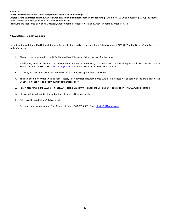#### **AWARDS:**

**CLASS CHAMPIONS – Each Class Champion will receive an additional \$5**

**Overall Grand Champion White & Overall Grand NC individual fleeces receive the following:** Champion \$20.00 and Reserve \$15.00; The Morris Culver Memorial Awards; and ARBA National Show Awards.

Premiums are sponsored by Nichols Livestock, Oregon Romney breeders Assn. and American Romney breeders Assn.

## **ARBA National Romney Wool Sale**

In conjunction with the ARBA National Romney sheep sale, there will also be a wool sale Saturday, August 27<sup>th</sup>, 2022 at the Oregon State Fair in the early afternoon.

- 1. Fleeces must be entered in the ARBA National Wool Show and follow the rules for the show.
- 2. A sale entry form and fee must also be completed and sent to Sue Kalina, Chairman ARBA. National Sheep & Wool Sale at 35586 Oakville Rd SW, Albany, OR 97321. Emai[l skalina26@gmail.com.](mailto:skalina26@gmail.com) Forms will be available in ARBA Website.
- 3. If selling, you will need to let the clerk know at time of delivering the fleece for show.
- 4. The Sale champion White Ewe and Ram Fleeces, Sale Champion Natural Colored Ewe & Ram fleeces will be sold with the oral auction. The Other sale fleece will be a silent auction at the fleece show.
- 5. Entry fees for sale are \$5.00 per fleece. After sale, a 6% commission for the OSF and a 6% commission for ARBA will be charged.
- 6. Fleeces will be released at the end of the sale after settling payment.
- 7. Sellers will be paid within 30 days of sale.

For more information, contact Sue Kalina, call or text 503-939-0303. Email[: skalina26@gmail.com](mailto:skalina26@gmail.com)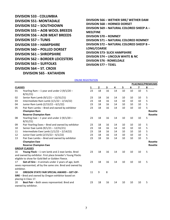| <b>DIVISION 533 - COLUMBIA</b>        |
|---------------------------------------|
| <b>DIVISION 551- MONTADALE</b>        |
| <b>DIVISION 552 - SOUTHDOWN</b>       |
| <b>DIVISION 555 - AOB WOOL BREEDS</b> |
| <b>DIVISION 556 - AOB MEAT BREEDS</b> |
| <b>DIVISION 557 - TUNIS</b>           |
| DIVISION 559 – HAMPSHIRE              |
| DIVISION 560 - POLLED DORSET          |
| <b>DIVISION 561 - SHROPSHIRE</b>      |
| DIVISION 562 – BORDER LEICESTERS      |
| DIVISION 563 – SUFFOLKS               |
| DIVISION 564 – ST. CROIX              |
| <b>DIVISION 565 - KATAHDIN</b>        |
|                                       |

**DIVISION 566 – WETHER SIRE/ WETHER DAM DIVISION 568 – HORNED DORSET DIVISION 569 – NATURAL COLORED SHEEP A – MED/FINE DIVISION 570 – ROMNEY DIVISION 571 – NATURAL COLORED ROMNEY DIVISION 572 – NATURAL COLORED SHEEP B – LONG/COARSE DIVISION 573- SLICK HAMPSHIRE DIVISION 574 – LINCOLN WHITE & NC DIVISION 576 - ROMELDALE DIVISION 577 – TEXEL**

#### [ONLINE REGISTRATION](http://oregona.fairmanager.com/)

|                |                                                            |    |              |    |    |    |    |    | PLACINGS/PREMIUMS |
|----------------|------------------------------------------------------------|----|--------------|----|----|----|----|----|-------------------|
| <b>CLASSES</b> |                                                            |    | $\mathbf{2}$ | 3  | 4  | 5  | 6  | 7  | 8                 |
| 01             | Yearling Ram $-1$ year and under 2 (9/1/20 –               | 23 | 18           | 16 | 14 | 10 | 10 | 10 | 5                 |
|                | 8/31/21                                                    |    |              |    |    |    |    |    |                   |
| 02             | Senior Ram Lamb (9/1/21 - 12/31/21)                        | 23 | 18           | 16 | 14 | 10 | 10 | 10 | 5                 |
| 03             | Intermediate Ram Lamb $(1/1/22 - 2/14/22)$                 | 23 | 18           | 16 | 14 | 10 | 10 | 10 | 5                 |
| 04             | Junior Ram Lamb (2/15/22 - 6/1/22)                         | 23 | 18           | 16 | 14 | 10 | 10 | 10 | 5                 |
| 05             | Pair Ram Lambs - Bred and owned by exhibitor               | 23 | 18           | 16 | 14 | 10 | 10 | 10 | 5                 |
|                | <b>Champion Ram</b>                                        |    |              |    |    |    |    |    | <b>Rosette</b>    |
|                | <b>Reserve Champion Ram</b>                                |    |              |    |    |    |    |    | <b>Rosette</b>    |
| 08             | Yearling Ewe $-1$ year and under 2 (9/1/20 $-$             | 23 | 18           | 16 | 14 | 10 | 10 | 10 | 5                 |
|                | 8/31/21                                                    |    |              |    |    |    |    |    |                   |
| 09             | Pair Yearling Ewes - Bred and owned by exhibitor           | 23 | 18           | 16 | 14 | 10 | 10 | 10 | 5                 |
| 10             | Senior Ewe Lamb (9/1/21 - 12/31/21)                        | 23 | 18           | 16 | 14 | 10 | 10 | 10 | 5                 |
| 11             | Intermediate Ewe Lamb $(1/1/22 - 2/14/22)$                 | 23 | 18           | 16 | 14 | 10 | 10 | 10 | 5                 |
| 12             | Junior Ewe Lamb (2/15/22 - 6/1/22)                         | 23 | 18           | 16 | 14 | 10 | 10 | 10 | 5                 |
| 13             | Pair Ewe Lambs - Bred and owned by exhibitor               | 23 | 18           | 16 | 14 | 10 | 10 | 10 | 5                 |
|                | <b>Champion Ewe</b>                                        |    |              |    |    |    |    |    | Rosette           |
|                | <b>Reserve Champion Ewe</b>                                |    |              |    |    |    |    |    | <b>Rosette</b>    |
|                | <b>GROUP CLASSES</b>                                       |    |              |    |    |    |    |    |                   |
| 16             | Young Flock - 1 ram lamb and 2 ewe lambs. Bred             | 23 | 18           | 16 | 14 | 10 | 10 | 10 | 5                 |
|                | and owned by exhibitor. First place breeder's Young Flocks |    |              |    |    |    |    |    |                   |
|                | eligible to show for Gold Bell or Golden Fleece.           |    |              |    |    |    |    |    |                   |
| 17             | Get-of-Sire $-4$ animals under 2 years of age, both        | 23 | 18           | 16 | 14 | 10 | 10 | 10 | 5                 |
|                | sexes represented, all by the same sire. Bred and owned by |    |              |    |    |    |    |    |                   |
| exhibitor.     |                                                            |    |              |    |    |    |    |    |                   |
| 18             | <b>OREGON STATE FAIR SPECIAL AWARD - GET-OF-</b>           | 11 | 9            | 8  |    |    |    |    |                   |
|                | SIRE - Bred and owned by Oregon exhibitor based on         |    |              |    |    |    |    |    |                   |
|                | placing in Class 17.                                       |    |              |    |    |    |    |    |                   |
| 20             | Best Pair - Both sexes represented. Bred and               | 23 | 18           | 16 | 14 | 10 | 10 | 10 | 5                 |
|                | owned by exhibitor.                                        |    |              |    |    |    |    |    |                   |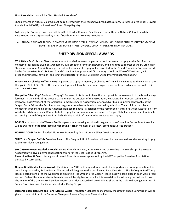First **Shropshire** class will be "Best Headed Shropshire"

Sheep entered in Natural Colored must be registered with their respective breed associations, Natural Colored Wool Growers Association (NCWGA) or American Colored Sheep Registry.

Following the Romney class there will be a Best Headed Romney. Best Headed may either be Natural Colored or White. Best Headed Award Sponsored by NARA "North American Romney Association

ALL ANIMALS SHOWN IN GROUP CLASSES MUST HAVE BEEN SHOWN AS INDIVIDUALS. GROUP ENTRIES MUST BE MADE AT SAME TIME AS INDIVIDUAL ENTRIES. ONE GROUP ENTRY PER EXHIBITOR PER CLASS.

# **SHEEP DIVISION SPECIAL AWARDS**

**ST. CROIX –** St. Croix Hair Sheep International Association awards a perpetual and permanent trophy to the Best Pair. In memory of Josephine Swan of Swan Ranch, avid breeder, promoter, showman, and long-time supporter of the St. Croix Hair Sheep International Association, a perpetual and permanent trophy will be awarded to the Grand Champion Ewe sponsored by the Dorsey - Lee St. Croix Farm. Grand Champion Ram presented, "In memory of William Wire of Wire Ranch, avid breeder, promoter, showman, and longtime supporter of the St. Croix Hair Sheep International Association."

**HAMPSHIRE – Charles Buffam Award:** A perpetual trophy in memory of Charles Buffam will be awarded to the winner of the Hampshire Get-of-Sire Class. The winner each year will have his/her name engraved on the trophy which he/she will retain until the next show.

**Hampshire Silver Cup "Presidents Trophy":** Because of his desire to have the best possible improvement of the breed always foremost in the minds of the breeders, and under the auspices of the Association, Mr. MacMillan Hoopes, Wilmington, Delaware, Past President of the American Hampshire Sheep Association, offers a Silver Cup as a permanent trophy at the Oregon State Fair for the Best Pen of two registered ram lambs, bred and owned by exhibitor. The exhibitor must be a member in good standing of the American Hampshire Sheep Association or the recognized Hampshire Sheep Association from which the exhibitor comes. Winner to hold trophy for one year and return same to Oregon State Fair management in time for succeeding annual Oregon State Fair. Each winning exhibitor's name to be engraved on trophy.

**DORSET –** In honor of the Warren Family, a permanent rotating trophy will be given to the Champion Dorset Ram. A trophy will be awarded to **the First Place Dorset Young Flock** in memory of Bill Fitch, prominent Dorset breeder.

**HORNED DORSET** – Best headed. Either sex. Donated by Maria Rooney, Silver Creek Lambscapes.

**SUFFOLK – Oregon Suffolk Breeders Award:** The Oregon Suffolk Breeders, will award a hand-carved wooden rotating trophy to the First Place Young Flock.

**SHROPSHIRE – Best Headed Shropshire:** One Shropshire Sheep, Ram, Ewe, Lamb or Yearling. The NW Shropshire Breeders Association will give a permanent rotating award for the Best Headed Shropshire. **Champion Ram & Ewe**, rotating wood carved Shropshire award sponsored by the NW Shropshire Breeders Association, donated by Karol Willie.

**Oregon Bred Golden Fleece Award** – Established in 2009 and designed to promote the importance of wool production, this award is sponsored by Sudan Farms. This award will be given to the best fleeced Ram, Ewe, Get of Sire & Oregon Bred Young Flock selected from all of the wool breeds exhibiting. The Oregon Bred Golden Fleece class will take place in each wool breed section. Each of the winners from these classes will be eligible to show for this award directly following the last wool class. The winner of the Oregon Bred Golden Fleece Young Flock Award will be eligible to show in the Gold Bell Young Flock Award. Sudan Farms is a small family farm located in Canby Oregon.

**Supreme Champion Ewe and Ram (Meat & Wool)** – Pendleton Blankets sponsored by the Oregon Sheep Commission will be given to the exhibitor of the Supreme Champion Ewe and Supreme Champion Ram.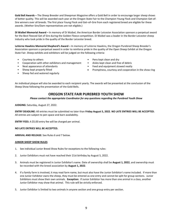**Gold Bell Awards –** The Sheep Breeder and Sheepman Magazine offers a Gold Bell in order to encourage larger sheep shows of better quality. This will be awarded each year at the Oregon State Fair to the Champion Young Flock and Champion Get-of-Sire winners over all breeds. The first place Young Flock and Get–of–Sire from each registered breed are eligible for these awards. (Wether Sire/Dam representatives are not eligible.)

**Di Waibel Memorial Award –** In memory of Di Waibel, the American Border Leicester Association sponsors a perpetual award for the Best Fleeced Get of Sire during the Golden Fleece competition. Di Waibel was a leader in the Border Leicester sheep industry who took pride in the quality of the Border Leicester breed.

**LaVerne Hawkins Memorial Shepherd's Award –** In memory of LaVerne Hawkins, the Oregon Purebred Sheep Breeder's Association sponsors a perpetual award in order to reinforce pride in the quality of the Open Sheep Exhibit at the Oregon State Fair. Sheep exhibits and exhibitors will be judged on the following criteria:

- Courtesy to others
- Cooperation with other exhibitors and management
- Neat appearance of attendants
- Sheep kept properly fitted
- Sheep fed and watered regularly
- Pens kept clean and dry
- Aisles kept clean and free of debris
- Feed and equipment stowed neatly
- Promptness, courtesy and cooperation in the show ring

An individual plaque will also be awarded to each recipient yearly. The awards will be presented at the conclusion of the Sheep Show following the presentation of the Gold Bells.

# **OREGON STATE FAIR PUREBRED YOUTH SHOW**

*Please contact the appropriate Coordinator for any questions regarding the Purebred Youth Show*

**JUDGING:** Saturday, August 27, 2022.

**ENTRY DEADLINE:** All entries must be submitted no later than **Friday August 5, 2022**. **NO LATE ENTRIES WILL BE ACCEPTED.** All entries are subject to pen space and barn availability.

**ENTRY FEES:** A \$5.00 entry fee will be charged per animal.

## **NO LATE ENTRIES WILL BE ACCEPTED.**

**ARRIVAL AND RELEASE:** See Rules 6 and 7 below.

## **JUNIOR SHEEP SHOW RULES**

- 1. See individual Junior Breed Show Rules for exceptions to the following rules:
- 2. Junior Exhibitors must not have reached their 21st birthday by August 5, 2022.
- 3. Animals must be registered in Junior Exhibitor's name. Date of ownership shall be **August 1, 2022**, and ownership must be recorded with the breed association by **August 1, 2022**.
- 4. If a family farm is involved, it may read farm name, but must also have the Junior Exhibitor's name included. If more than one Junior Exhibitor owns the sheep, they must be entered as one entry and cannot be split for group sections. Junior Exhibitors must show their own animals. **Exception:** If Junior Exhibitor has more than one animal in a class, another Junior Exhibitor may show that animal. This rule will be strictly enforced.
- 5. Junior Exhibitor is limited to two animals in anyone section and one group entry per section.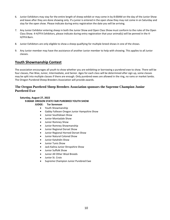- 6. Junior Exhibitors may stay for the entire length of sheep exhibit or may come in by 8:00AM on the day of the Junior Show and leave after they are done showing only. If a junior is entered in the open show they may not come in on Saturday and stay for the open show. Please indicate during entry registration the date you will be arriving.
- 7. Any Junior Exhibitor entering sheep in both the Junior Show and Open Class Show must conform to the rules of the Open Class Show. 4-H/FFA Exhibitors, please indicate during entry registration that your animal(s) will be penned in the 4- H/FFA Barn.
- 8. Junior Exhibitors are only eligible to show a sheep qualifying for multiple breed shows in one of the shows.
- 9. Any Junior member may have the assistance of another Junior member to help with showing. This applies to all Junior classes.

# **Youth Showmanship Contest**

The association encourages all youth to show whether you are exhibiting or borrowing a purebred ewe to show. There will be four classes, Pee Wee, Junior, Intermediate, and Senior. Ages for each class will be determined after sign up, some classes may be split into multiple classes if there are enough. Only purebred ewes are allowed in the ring, no rams or market lambs. The Oregon Purebred Sheep Breeders Association will provide awards.

## **The Oregon Purebred Sheep Breeders Association sponsors the Supreme Champion Junior Purebred Ewe**

#### **Saturday, August 27, 2022 9:00AM OREGON STATE FAIR PUREBRED YOUTH SHOW JUDGE: Tor Sorenson**

- 
- Youth Showmanship
- Gabby Fallesen Oregon Junior Hampshire Show
- Junior Southdown Show
- Junior Montadale Show
- Junior Romney Show
- Junior Romney Showmanship
- Junior Regional Dorset Show
- Junior Regional Horned Dorset Show
- Junior Natural Colored Show
- Junior Katahdin Show
- Junior Tunis Show
- Jack Kalina Junior Shropshire Show
- Junior Suffolk Show
- Junior All Other Wool Breeds
- Junior St. Croix
- Supreme Champion Junior Purebred Ewe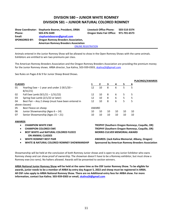# **DIVISION 580 – JUNIOR WHITE ROMNEY DIVISION 581 – JUNIOR NATURAL COLORED ROMNEY**

|                      | Show Coordinator: Stephanie Booren, President, ORBA | <b>Livestock Office Phone:</b>         | 503-510-3374 |  |  |  |  |  |  |
|----------------------|-----------------------------------------------------|----------------------------------------|--------------|--|--|--|--|--|--|
| Phone:               | 503-476-5449                                        | Oregon State Fair Office: 971-701-6573 |              |  |  |  |  |  |  |
| Email:               | stephaniebooren@gmail.com                           |                                        |              |  |  |  |  |  |  |
| <b>SPONSORED BY:</b> | <b>Oregon Romney Breeders Association,</b>          |                                        |              |  |  |  |  |  |  |
|                      | <b>American Romney Breeders Association</b>         |                                        |              |  |  |  |  |  |  |
|                      |                                                     | <b>ONLINE REGISTRATION</b>             |              |  |  |  |  |  |  |

Animals entered in the Junior Romney Show will be allowed to show in the Open Romney Shows with the same animals. Exhibitors are entitled to win two premiums per class.

The American Romney Breeders Association and the Oregon Romney Breeders Association are providing the premium money for the Junior Romney shows. ARBA director, Sue Kalina, 503-939-0303[, skalina26@gmail.com](mailto:skalina26@gmail.com)

See Rules on Pages 8 & 9 for Junior Sheep Breed Shows.

|                               |                                                    |                                     |              |    |                |    | <b>PLACINGS/AWARDS</b>                                |
|-------------------------------|----------------------------------------------------|-------------------------------------|--------------|----|----------------|----|-------------------------------------------------------|
| <b>CLASSES</b>                |                                                    |                                     | $\mathbf{2}$ | 3  | 4              | 5. | <u>6</u>                                              |
| 01                            | Yearling Ewe $-1$ year and under 2 (9/1/20 $-$     | 12                                  | 10           | 8  | 6              | 5  | 5                                                     |
|                               | 8/31/21                                            |                                     |              |    |                |    |                                                       |
| 02                            | Fall Ewe Lamb $(9/1/21 - 1/31/22)$                 | 12                                  | 10           | 8  | 6              | 5  | 5                                                     |
| 03                            | Spring Ewe Lamb (2/1/22 or later)                  | 12                                  | 10           | 8  | $6 \quad \Box$ | 5  | 5                                                     |
| 04                            | Best Pair - Any 2 sheep (must have been entered in | 12                                  | 10           | 8  | 6              | 5  | 5                                                     |
|                               | above classes)                                     |                                     |              |    |                |    |                                                       |
| 05                            | Best Fleece on sheep                               | AWARD                               |              |    |                |    |                                                       |
| 06                            | Junior Showmanship (Ages $6 - 14$ )                | 10                                  | 10           | 10 | 10             | 10 | 10                                                    |
| 07                            | Senior Showmanship (Ages 15 - 21)                  | 10                                  | 10           | 10 | 10             | 10 | 10                                                    |
| <b>AWARDS</b>                 |                                                    |                                     |              |    |                |    |                                                       |
|                               | <b>CHAMPION WHITE EWE</b>                          |                                     |              |    |                |    | <b>TROPHY (Southern Oregon Romneys, Coquille, OR)</b> |
|                               | <b>CHAMPION COLORED EWE</b>                        |                                     |              |    |                |    | <b>TROPHY (Southern Oregon Romneys, Coquille, OR)</b> |
| $\bullet$                     | <b>BEST WHITE and NATURAL COLORED FLEECE</b>       | <b>MORRIS CULVER MEMORIAL AWARD</b> |              |    |                |    |                                                       |
|                               | <b>ON ANIMAL CLASSES</b>                           |                                     |              |    |                |    |                                                       |
| <b>WHITE ROMNEY BEST PAIR</b> |                                                    |                                     |              |    |                |    | AWARDS: (Jack Kalina Memorial, Albany, Oregon)        |

• **WHITE & NATURAL COLORED ROMNEY SHOWMANSHIP Sponsored by American Romney Breeders Association**

Showmanship will be held at the conclusion of both Romney Junior shows and is open to any Junior Exhibitor who owns Romney sheep and can show proof of ownership. The showman doesn't have to be a Romney exhibitor, but must show a Romney ewe (no rams). No halters allowed. Awards will be presented to section winners.

**ARBA National Junior Romney Show will be held at the same time as the OSF Junior Romney Show. To be eligible for awards, junior needs to be a member of ARBA by entry day August 5, 2022 and sheep must be registered in ARBA. All OSF rules apply to ARBA National Romney Show. There are no Additional entry fees for ARBA show. For more information, contact Sue Kalina. 503-939-0303 or email, [skalina26@gmail.com](mailto:skalina26@gmail.com)**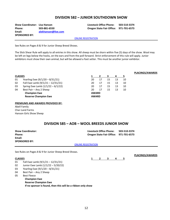# **DIVISION 582 – JUNIOR SOUTHDOWN SHOW**

**Show Coordinator: Lisa Hanson Livestock Office Phone: 503-510-3374 Phone: 503-881-6550 Oregon State Fair Office: 971-701-6573 Email: [alekhanson@live.com](mailto:alekhanson@live.com) SPONSORED BY:**

#### [ONLINE REGISTRATION](http://oregona.fairmanager.com/)

See Rules on Pages 8 & 9 for Junior Sheep Breed Shows.

The Slick Shear Rule will apply to all entries in this show. All sheep must be shorn within five (5) days of the show. Wool may be left on legs below the hocks, on the ears and from the poll forward. Strict enforcement of this rule will apply. Junior exhibitors must show their own animal, but will be allowed a foot setter. This must be another junior exhibitor.

# **PLACINGS/AWARDS**

## 01 Yearling Ewe (9/1/20 – 8/31/21)

- 02 Fall Ewe Lamb (9/1/21 12/31/21)
- 03 Spring Ewe Lamb (1/1/22 6/1/22)
- 04 Best Pair Any 2 Sheep **Champion Ewe Reserve Champion Ewe**

| 1            | 2            | з  | 4  | 5  |  |  |  |  |  |  |
|--------------|--------------|----|----|----|--|--|--|--|--|--|
| 20           | 17           | 15 | 13 | 10 |  |  |  |  |  |  |
| 20           | 17           | 15 | 13 | 10 |  |  |  |  |  |  |
| 20           | 17           | 15 | 13 | 10 |  |  |  |  |  |  |
| 20           | 17           | 15 | 13 | 10 |  |  |  |  |  |  |
| <b>AWARD</b> |              |    |    |    |  |  |  |  |  |  |
|              | <b>AWARD</b> |    |    |    |  |  |  |  |  |  |

#### **PREMIUMS AND AWARDS PROVIDED BY:**

Abell Family Char-Land Farms Hanson Girls Show Sheep

# **DIVISION 585 – AOB – WOOL BREEDS JUNIOR SHOW**

| <b>Show Coordinator:</b> | Livestock Office Phone:                | 503-510-3374 |
|--------------------------|----------------------------------------|--------------|
| Phone:                   | Oregon State Fair Office: 971-701-6573 |              |
| Email:                   |                                        |              |
| <b>SPONSORED BY:</b>     |                                        |              |
|                          | <b>ONLINE REGISTRATION</b>             |              |

See Rules on Pages 8 & 9 for Junior Sheep Breed Shows.

#### **CLASSES**

**CLASSES**

- 01 Fall Ewe Lamb (9/1/21 12/31/21)
- 02 Junior Ewe Lamb (1/1/22 5/20/22)
- 03 Yearling Ewe (9/1/20 8/31/21)
- 04 Best Pair Any 2 Sheep
- 05 Best Fleece

**Champion Ewe Reserve Champion Ewe If no sponsor is found, then this will be a ribbon only show**

**1 2 3 4 5**

**PLACINGS/AWARDS**

12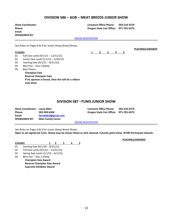# **DIVISION 586 – AOB – MEAT BREEDS JUNIOR SHOW**

| <b>Show Coordinator:</b><br>Phone:<br>Email:<br><b>SPONSORED BY:</b> |                                                        |                            | <b>Livestock Office Phone:</b><br><b>Oregon State Fair Office:</b> |   |   | 503-510-3374<br>971-701-6573 |                        |  |
|----------------------------------------------------------------------|--------------------------------------------------------|----------------------------|--------------------------------------------------------------------|---|---|------------------------------|------------------------|--|
|                                                                      |                                                        | <b>ONLINE REGISTRATION</b> |                                                                    |   |   |                              |                        |  |
|                                                                      | See Rules on Pages 8 & 9 for Junior Sheep Breed Shows. |                            |                                                                    |   |   |                              | <b>PLACINGS/AWARDS</b> |  |
| <b>CLASSES</b>                                                       |                                                        |                            | 2                                                                  | 3 | 4 | 5                            |                        |  |
| 01                                                                   | Fall Ewe Lamb (9/1/21 - 12/31/21)                      |                            |                                                                    |   |   |                              |                        |  |
| 02                                                                   | Junior Ewe Lamb (1/1/22 - 5/20/22)                     |                            |                                                                    |   |   |                              |                        |  |
| 03                                                                   | Yearling Ewe (9/1/21 - 8/31/22)                        |                            |                                                                    |   |   |                              |                        |  |
| 04                                                                   | Best Pair - Any 2 Sheep                                |                            |                                                                    |   |   |                              |                        |  |
| 05                                                                   | <b>Best Fleece</b>                                     |                            |                                                                    |   |   |                              |                        |  |
|                                                                      | <b>Champion Ewe</b>                                    |                            |                                                                    |   |   |                              |                        |  |
|                                                                      | <b>Reserve Champion Ewe</b>                            |                            |                                                                    |   |   |                              |                        |  |

## **DIVISION 587 –TUNIS JUNIOR SHOW**

| <b>Show Coordinator: Lacey Allen</b> |                           | <b>Livestock Office Phone:</b>         | 503-510-3374 |
|--------------------------------------|---------------------------|----------------------------------------|--------------|
| Phone:                               | 503-949-6304              | Oregon State Fair Office: 971-701-6573 |              |
| Email:                               | farmkids2@gmail.com       |                                        |              |
| <b>SPONSORED BY:</b>                 | <b>Allen Family Farms</b> |                                        |              |
|                                      |                           | <b>ONLINE REGISTRATION</b>             |              |

See Rules on Pages 8 & 9 for Junior Sheep Breed Shows.

**If no sponsor is found, then this will be a ribbon** 

**Open to all registered Tunis. Sheep may be shown fitted or slick sheared. Futurity point show. NTSRI Participant Awards.**

| <b>CLASSES</b> |               |  |  |  |
|----------------|---------------|--|--|--|
| $^{\circ}$     | $\frac{1}{4}$ |  |  |  |

- 01 Yearling Ewe (9/1/20 8/31/21)
- 02 Fall Ewe Lamb (9/1/21 12/31/21)
- 03 Spring Ewe Lamb (1/1/22 6/1/22)
- 04 Best Pair Any 2 Sheep **Champion Ewe Award**

**only show**

**Reserve Champion Ewe Award Supreme Exhibitor Award**

**PLACINGS/AWARDS**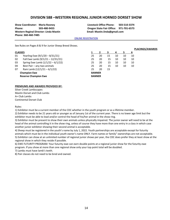## **DIVISION 588 –WESTERN REGIONAL JUNIOR HORNED DORSET SHOW**

**Western Reginal Director: Linda Mastin Email: Mastin.linda@gmail.com Phone: 360-460-7485** 

**Show Coordinator: Maria Rooney Livestock Office Phone: 503-510-3374 Phone: 503-480-9455 Oregon State Fair Office: 971-701-6573**

#### **[ONLINE REGISTRATION](http://oregona.fairmanager.com/)**

See Rules on Pages 8 & 9 for Junior Sheep Breed Shows.

|                             |                                     |               |    |    |    |    |    | г сасничэта |
|-----------------------------|-------------------------------------|---------------|----|----|----|----|----|-------------|
|                             | <b>CLASSES</b>                      |               |    |    | 4  |    | 6  |             |
| 01                          | Yearling Ewe (9/1/20 - 8/31/21)     | 25            | 20 | 15 | 10 | 10 | 10 |             |
| 02                          | Fall Ewe Lamb (9/1/21 - 12/31/21)   | 25            | 20 | 15 | 10 | 10 | 10 |             |
| 03                          | Spring Ewe Lamb $(1/1/22 - 6/1/22)$ | 25            | 20 | 15 | 10 | 10 | 10 |             |
| 04                          | Best Pair - any two animals         | 25            | 20 | 15 | 10 | 10 | 10 |             |
| 07                          | Ram Lamb $(12/1/21 - 6/1/22)$       | 25            | 20 | 15 |    |    |    |             |
| <b>Champion Ewe</b>         |                                     | <b>BANNER</b> |    |    |    |    |    |             |
| <b>Reserve Champion Ewe</b> |                                     | <b>BANNER</b> |    |    |    |    |    |             |
|                             |                                     |               |    |    |    |    |    |             |

#### **PREMIUMS AND AWARDS PROVIDED BY:**

Silver Creek Lambscapes Mastin Dorset and Club Lambs A+ Club Lambs Continental Dorset Club

Rules:

1) Exhibitor must be a current member of the CDC whether in the youth program or as a lifetime member.

2) Exhibitor needs to be 21 years old or younger as of January 1st of the current year. There is no lower age limit but the exhibitor must be able to lead and/or control the head of his/her animal in the show ring.

3) Exhibitor must be present to show their own animals unless physically impaired. The junior owner will need to be at the head of the animal controlling it in the show ring, unless of course they have more than one entry in a class in which case another junior exhibitor showing their second animal is acceptable.

4) Sheep must be registered in the youth's name by July 1, 2022. Youth partnerships are acceptable except for futurity animals which must be in the individual youth owner's name ONLY. Farm names or family" ownerships are not acceptable. 5) Exhibitor can show at an unlimited number of regional junior shows per year, the CDC does prefer they at least show at the regional show in which they reside if possible.

6) EWE FUTURITY PROGRAM: Your futurity ewe can earn double points at a regional junior show for the futurity ewe program. If you show at more than one regional show only your top point total will be doubled.

7) Lambs must have lamb's teeth.

8) Pair classes do not need to be bred and owned.

**PLACINGS/AWARDS**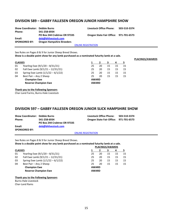# **DIVISION 589 – GABBY FALLESEN OREGON JUNIOR HAMPSHIRE SHOW**

| <b>Show Coordinator: Debbie Burns</b> |                                  | Livestock Office Phone:                | 503-510-3374 |
|---------------------------------------|----------------------------------|----------------------------------------|--------------|
| Phone:                                | 541-258-6934                     |                                        |              |
|                                       | PO Box 244 Crabtree OR 97335     | Oregon State Fair Office: 971-701-6573 |              |
| Email:                                | deb@bhlivestock.com              |                                        |              |
| <b>SPONSORED BY:</b>                  | <b>Oregon Hampshire Breeders</b> |                                        |              |
|                                       |                                  | <b>ONLINE REGISTRATION</b>             |              |

**PLACINGS/AWARDS**

See Rules on Pages 8 & 9 for Junior Sheep Breed Shows. **Show is a double point show for any lamb purchased as a nominated futurity lamb at a sale.**

| <b>CLASSES</b>              |                                     |              |    | 3  | 4  | 5  |
|-----------------------------|-------------------------------------|--------------|----|----|----|----|
| 01                          | Yearling Ewe $(9/1/20 - 8/31/21)$   | 25           | 20 | 15 | 15 | 15 |
| 02                          | Fall Ewe Lamb (9/1/21 - 12/31/21)   | 25           | 20 | 15 | 15 | 15 |
| 03                          | Spring Ewe Lamb $(1/1/22 - 6/1/22)$ | 25           | 20 | 15 | 15 | 15 |
| 04                          | Best Pair - Any 2 Sheep             | 25           | 20 | 15 | 15 | 15 |
|                             | <b>Champion Ewe</b>                 | <b>AWARD</b> |    |    |    |    |
| <b>Reserve Champion Ewe</b> |                                     | <b>AWARD</b> |    |    |    |    |

**Thank you to the Following Sponsors**

Char-Land Farms, Burns-Hale Livestock

# **DIVISION 597 – GABBY FALLESEN OREGON JUNIOR SLICK HAMPSHIRE SHOW**

| <b>Show Coordinator: Debbie Burns</b> |                              | Livestock Office Phone:                | 503-510-3374 |
|---------------------------------------|------------------------------|----------------------------------------|--------------|
| <b>Phone:</b>                         | 541-258-6934                 | Oregon State Fair Office: 971-701-6573 |              |
|                                       | PO Box 244 Crabtree OR 97335 |                                        |              |
| Email:                                | deb@bhlivestock.com          |                                        |              |
| <b>SPONSORED BY:</b>                  |                              |                                        |              |

## **[ONLINE REGISTRATION](http://oregona.fairmanager.com/)**

See Rules on Pages 8 & 9 for Junior Sheep Breed Shows.

#### **Show is a double point show for any lamb purchased as a nominated futurity lamb at a sale. PLACINGS/AWARDS**

|                |                                     |              | <b>FLACIIVUSI AWANDS</b> |    |    |    |  |  |  |
|----------------|-------------------------------------|--------------|--------------------------|----|----|----|--|--|--|
| <b>CLASSES</b> |                                     |              |                          |    | 4  |    |  |  |  |
| 01             | Yearling Ewe $(9/1/20 - 8/31/21)$   | 25           | 20                       | 15 | 15 | 15 |  |  |  |
| 02             | Fall Ewe Lamb (9/1/21 - 12/31/21)   | 25           | 20                       | 15 | 15 | 15 |  |  |  |
| 03             | Spring Ewe Lamb $(1/1/22 - 6/1/22)$ | 25           | 20                       | 15 | 15 | 15 |  |  |  |
| 04             | Best Pair - Any 2 Sheep             | 25           | 20                       | 15 | 15 | 15 |  |  |  |
|                | <b>Champion Ewe</b>                 | <b>AWARD</b> |                          |    |    |    |  |  |  |
|                | <b>Reserve Champion Ewe</b>         | <b>AWARD</b> |                          |    |    |    |  |  |  |
|                |                                     |              |                          |    |    |    |  |  |  |

## **Thank you to the Following Sponsors**

Burns-Hale Livestock Char-Land Rams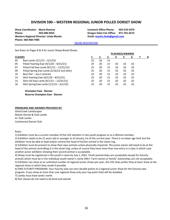## **DIVISION 590 – WESTERN REGIONAL JUNIOR POLLED DORSET SHOW**

**Show Coordinator: Maria Rooney Livestock Office Phone: 503-510-3374 Phone: 503-480-9455 Oregon State Fair Office: 971-701-6573 Western Regional Director: Linda Mastin Email: [mastin.linda@gmail.com](mailto:mastin.linda@gmail.com) Phone: 360-460-7485**

#### **[ONLINE REGISTRATION](http://oregona.fairmanager.com/)**

See Rules on Pages 8 & 9 for Junior Sheep Breed Shows.

#### **CLASSES**

- 02 Ram Lamb 12/1/21 6/1/22)
- 05 Fitted Yearling Ewe (9/1/20 8/31/21)
- 07 Fitted Fall Ewe Lamb (9/1/21 12/31/21)
- 09 Fitted Spring Ewe Lamb (2/16/22 and after)
- 10 Best Pair any 2 animals
- 14 Slick Yearling Ewe (9/1/20 8/31/21)
- 15 Slick Fall Ewe Lamb (9/1/21 12/31/21)
- 16 Slick Spring Ewe Lamb (1/1/22 6/1/22)

**Champion Ewe - Banner Reserve Champion Ewe - Banner**

|    | 2  | 3  |    | 5  | 6  | 8 |
|----|----|----|----|----|----|---|
| 25 | 20 | 15 |    |    |    |   |
| 25 | 20 | 15 | 10 | 10 | 10 |   |
| 25 | 20 | 15 | 10 | 10 | 10 |   |
| 25 | 20 | 15 | 10 | 10 | 10 |   |
| 25 | 20 | 15 | 10 | 10 | 10 |   |
| 25 | 20 | 15 | 10 | 10 | 10 |   |
| 25 | 20 | 15 | 10 | 10 | 10 |   |
| 25 | 20 | 15 | 10 | 10 | 10 |   |
|    |    |    |    |    |    |   |

**PLACINGS/AWARDS**

#### **PREMIUMS AND AWARDS PROVIDED BY:**

SilverCreek Lambscapes Mastin Dorset & Club Lambs A+ Club Lambs Continental Dorset Club

Rules:

1) Exhibitor must be a current member of the CDC whether in the youth program or as a lifetime member.

2) Exhibitor needs to be 21 years old or younger as of January 1st of the current year. There is no lower age limit but the exhibitor must be able to lead and/or control the head of his/her animal in the show ring.

3) Exhibitor must be present to show their own animals unless physically impaired. The junior owner will need to be at the head of the animal controlling it in the show ring, unless of course they have more than one entry in a class in which case another junior exhibitor showing their second animal is acceptable.

4) Sheep must be registered in the youth's name by July 1, 2022. Youth partnerships are acceptable except for futurity animals which must be in the individual youth owner's name ONLY. Farm names or family" ownerships are not acceptable. 5) Exhibitor can show at an unlimited number of regional junior shows per year, the CDC does prefer they at least show at the regional show in which they reside if possible.

6) EWE FUTURITY PROGRAM: Your futurity ewe can earn double points at a regional junior show for the futurity ewe program. If you show at more than one regional show only your top point total will be doubled.

7) Lambs must have lamb's teeth.

8) Pair classes do not need to be bred and owned.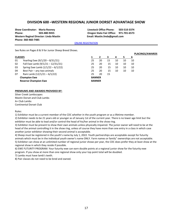## **DIVISION 600 –WESTERN REGIONAL JUNIOR DORSET ADVANTAGE SHOW**

**Western Reginal Director: Linda Mastin Email: Mastin.linda@gmail.com Phone: 360-460-7485** 

**Show Coordinator: Maria Rooney Livestock Office Phone: 503-510-3374 Phone: 503-480-9455 Oregon State Fair Office: 971-701-6573**

#### **[ONLINE REGISTRATION](http://oregona.fairmanager.com/)**

See Rules on Pages 8 & 9 for Junior Sheep Breed Shows.

|                |                                     |               |    |    |    |    |    | <b>PLACINGS/AWARDS</b> |
|----------------|-------------------------------------|---------------|----|----|----|----|----|------------------------|
| <b>CLASSES</b> |                                     |               |    | з. | 4  | 5  | 6  |                        |
| 01             | Yearling Ewe (9/1/20 - 8/31/21)     | 25            | 20 | 15 | 10 | 10 | 10 |                        |
| 02             | Fall Ewe Lamb (9/1/21 - 12/31/21)   | 25            | 20 | 15 | 10 | 10 | 10 |                        |
| 03             | Spring Ewe Lamb $(1/1/22 - 6/1/22)$ | 25            | 20 | 15 | 10 | 10 | 10 |                        |
| 04             | Best Pair - any two animals         | 25            | 20 | 15 | 10 | 10 | 10 |                        |
| 07             | Ram Lamb $(12/1/21 - 6/1/22)$       | 25            | 20 | 15 |    |    |    |                        |
|                | <b>Champion Ewe</b>                 | <b>BANNER</b> |    |    |    |    |    |                        |
|                | <b>Reserve Champion Ewe</b>         | <b>BANNER</b> |    |    |    |    |    |                        |
|                |                                     |               |    |    |    |    |    |                        |

#### **PREMIUMS AND AWARDS PROVIDED BY:**

Silver Creek Lambscapes Mastin Dorset and Club Lambs A+ Club Lambs Continental Dorset Club

Rules:

1) Exhibitor must be a current member of the CDC whether in the youth program or as a lifetime member.

2) Exhibitor needs to be 21 years old or younger as of January 1st of the current year. There is no lower age limit but the exhibitor must be able to lead and/or control the head of his/her animal in the show ring.

3) Exhibitor must be present to show their own animals unless physically impaired. The junior owner will need to be at the head of the animal controlling it in the show ring, unless of course they have more than one entry in a class in which case another junior exhibitor showing their second animal is acceptable.

4) Sheep must be registered in the youth's name by July 1, 2022. Youth partnerships are acceptable except for futurity animals which must be in the individual youth owner's name ONLY. Farm names or family" ownerships are not acceptable. 5) Exhibitor can show at an unlimited number of regional junior shows per year, the CDC does prefer they at least show at the regional show in which they reside if possible.

6) EWE FUTURITY PROGRAM: Your futurity ewe can earn double points at a regional junior show for the futurity ewe program. If you show at more than one regional show only your top point total will be doubled.

7) Lambs must have lamb's teeth.

8) Pair classes do not need to be bred and owned.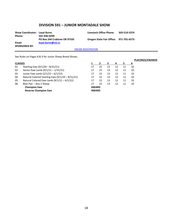# **DIVISION 591 – JUNIOR MONTADALE SHOW**

| <b>Show Coordinator: Loyal Burns</b> |                              | Livestock Office Phone:                | 503-510-3374 |
|--------------------------------------|------------------------------|----------------------------------------|--------------|
| Phone:                               | 541-936-0299                 |                                        |              |
|                                      | PO Box 244 Crabtree OR 97335 | Oregon State Fair Office: 971-701-6573 |              |
| Email:                               | loyal.burns@vsi.cc           |                                        |              |
| <b>SPONSORED BY:</b>                 |                              |                                        |              |

[ONLINE REGISTRATION](http://oregona.fairmanager.com/)

See Rules on Pages 8 & 9 for Junior Sheep Breed Shows.

#### **CLASSES**

- 01 Yearling Ewe (9/1/20 8/31/21)
- 02 Senior Ewe Lamb (9/1/21 1/31/21)
- 03 Junior Ewe Lamb (2/1/22 6/1/22)
- 04 Natural Colored Yearling Ewe  $(9/1/20 8/31/21)$ <br>05 Natural Colored Ewe Lamb  $(9/1/21 6/1/22)$
- Natural Colored Ewe Lamb  $(9/1/21 6/1/22)$
- 06 Best Pair Any 2 Sheep **Champion Ewe**

**Reserve Champion Ewe**

|              |    |    |    |    |    | <b>PLACINGS/AWARDS</b> |
|--------------|----|----|----|----|----|------------------------|
| 1            | 2  | 3  | 4  | 5  | 6  |                        |
| 17           | 15 | 13 | 12 | 11 | 10 |                        |
| 17           | 15 | 13 | 12 | 11 | 10 |                        |
| 17           | 15 | 13 | 12 | 11 | 10 |                        |
| 17           | 15 | 13 | 12 | 11 | 10 |                        |
| 17           | 15 | 13 | 12 | 11 | 10 |                        |
| 17           | 15 | 13 | 12 | 11 | 10 |                        |
| <b>AWARD</b> |    |    |    |    |    |                        |
| <b>AWARD</b> |    |    |    |    |    |                        |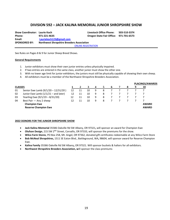# **DIVISION 592 – JACK KALINA MEMORIAL JUNIOR SHROPSHIRE SHOW**

**Show Coordinator: Laurie Koch Livestock Office Phone: 503-510-3374 Phone: 971-221-4635 Oregon State Fair Office: 971-701-6573 Email: [Lauriekoch123@gmail.com](mailto:Lauriekoch123@gmail.com) SPONSORED BY: Northwest Shropshire Breeders Association [ONLINE REGISTRATION](http://oregona.fairmanager.com/)** 

See Rules on Pages 8 & 9 for Junior Sheep Breed Shows.

#### **General Requirements**

- 1. Junior exhibitors must show their own junior entries unless physically impaired.
- 2. If two entries are entered in the same class, another junior must show the other one.
- 3. With no lower age limit for junior exhibitors, the juniors must still be physically capable of showing their own sheep.
- 4. All exhibitors must be a member of the Northwest Shropshire Breeders Association.

|                |                                       |    |    |    |   |   |  |   | <b>PLACINGS/AWARDS</b> |
|----------------|---------------------------------------|----|----|----|---|---|--|---|------------------------|
| <b>CLASSES</b> |                                       |    |    |    | 4 | ∽ |  | 9 | 10                     |
| 01             | Senior Ewe Lamb $(9/1/20 - 12/31/20)$ | 12 | 11 | 10 | 9 | 8 |  |   |                        |
| 02             | Junior Ewe Lamb (1/1/21 - and later)  | 12 | 11 | 10 | 9 | 8 |  |   |                        |
| 03             | Yearling Ewe (9/1/19 - 8/31/20)       | 12 | 11 | 10 | 9 | 8 |  |   |                        |
| 04             | Best Pair - Any 2 sheep               | 12 | 11 | 10 | 9 | 8 |  |   |                        |
|                | <b>Champion Ewe</b>                   |    |    |    |   |   |  |   | <b>AWARD</b>           |
|                | <b>Reserve Champion Ewe</b>           |    |    |    |   |   |  |   | <b>AWARD</b>           |
|                |                                       |    |    |    |   |   |  |   |                        |

#### **2022 DONORS FOR THE JUNIOR SHROPSHIRE SHOW**

- **Jack Kalina Memorial** 35586 Oakville Rd SW Albany, OR 97321**,** will sponsor an award for Champion Ewe
- **Olufson Design**, 215 SW 2<sup>ND</sup> Street, Corvallis, OR 97333, will sponsor the premiums for the show.
- **Wilco Farm Stores**, PO Box 258, Mt. Angel, OR 97362, donated gift certificates redeemable at any Wilco Farm Store
- **Bob McNeal Shropshires,** 1511 SE Eaton Blvd., Battleground, WA**,** 98604, will sponsor award for Reserve Champion Ewe.
- **Kalina Family** 35586 Oakville Rd SW Albany**,** OR 97321. Will sponsor buckets & halters for all exhibitors.
- **Northwest Shropshire Breeders Association, w**ill sponsor the class premiums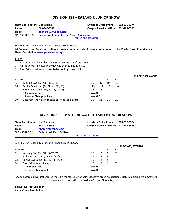# **DIVISION 595 – KATAHDIN JUNIOR SHOW**

**Show Coordinator: Debra Blake Livestock Office Phone: 503-510-3374 Phone: 503-467-8577 Oregon State Fair Office: 971-701-6573 Email: [djkblake53@yahoo.com](mailto:djkblake53@yahoo.com) SPONSORED BY: Pacific Coast Katahdin Hair Sheep Association [ONLINE REGISTRATION](http://oregona.fairmanager.com/)** 

See Rules on Pages 8 & 9 for Junior Sheep Breed Shows.

**All Premiums and Awards are offered through the generosity of members and friends of the Pacific Coast Katahdin Hair Sheep Association, [www.paccoastkat.org.](http://www.paccoastkat.org/)**

**PLACINGS/AWARDS**

**PLACINGS/AWARDS**

#### **RULES:**

- 1. Exhibitor must be under 21 years of age the day of the show.
- 2. All sheep must be owned by the exhibitor by July 1, 2019.
- 3. Best Pair class does not need to be bred by the exhibitor.

| <b>CLASSES</b> |                                                   |              |    | з  | 4  |
|----------------|---------------------------------------------------|--------------|----|----|----|
| -05            | Yearling Ewe (9/1/20 - 8/31/21)                   | 15           | 12 | 10 | 10 |
| 06             | Senior Ewe Lamb (9/1/21 - 1/31/21)                | 15           | 12 | 10 | 10 |
| 07             | Junior Ewe Lamb (2/1/22 - 5/20/22)                | 15           | 12 | 10 | 10 |
|                | <b>Champion Ewe</b>                               | <b>AWARD</b> |    |    |    |
|                | <b>Reserve Champion Ewe</b>                       | <b>AWARD</b> |    |    |    |
| 10             | Best Pair – Any 2 Sheep (one entry per exhibitor) | 15           |    |    | 10 |

## **DIVISION 599 – NATURAL COLORED SHEEP JUNIOR SHOW**

| <b>Show Coordinator: Jodi Rametes</b> |                                     | <b>Livestock Office Phone:</b>         | 503-510-3374 |
|---------------------------------------|-------------------------------------|----------------------------------------|--------------|
| Phone:                                | 503-475-3003                        | Oregon State Fair Office: 971-701-6573 |              |
| Email:                                | fiberewe@yahoo.com                  |                                        |              |
| <b>SPONSORED BY:</b>                  | <b>Cedar Creek Farm &amp; Fiber</b> |                                        |              |

#### [ONLINE REGISTRATION](http://oregona.fairmanager.com/)

See Rules on Pages 8 & 9 for Junior Sheep Breed Shows.

|                                                    |                                     |              |    |   |    | <b>PLACINGS/AWARDS</b> |
|----------------------------------------------------|-------------------------------------|--------------|----|---|----|------------------------|
| <b>CLASSES</b>                                     |                                     |              |    |   | -4 |                        |
| 01                                                 | Yearling Ewe (9/1/20 - 8/31/21)     | 15           | 12 | 9 |    |                        |
| 02                                                 | Fall Ewe Lamb (9/1/21 - 12/31/21)   | 15           | 12 | 9 |    |                        |
| 03                                                 | Spring Ewe Lamb $(1/1/22 - 6/1/22)$ | 15           | 12 | 9 |    |                        |
| 04                                                 | Best Pair - Any 2 Sheep             | 15           | 12 | 9 |    |                        |
| <b>Champion Ewe</b><br><b>Reserve Champion Ewe</b> |                                     | <b>AWARD</b> |    |   |    |                        |
|                                                    |                                     | <b>AWARD</b> |    |   |    |                        |
|                                                    |                                     |              |    |   |    |                        |

Sheep entered in Natural Colored must be registered with their respective breed associations, Natural Colored Wool Growers Association (NCWGA) or American Colored Sheep Registry.

**PREMIUMS PROVIDED BY:**

**Cedar Creek Farm & Fiber**